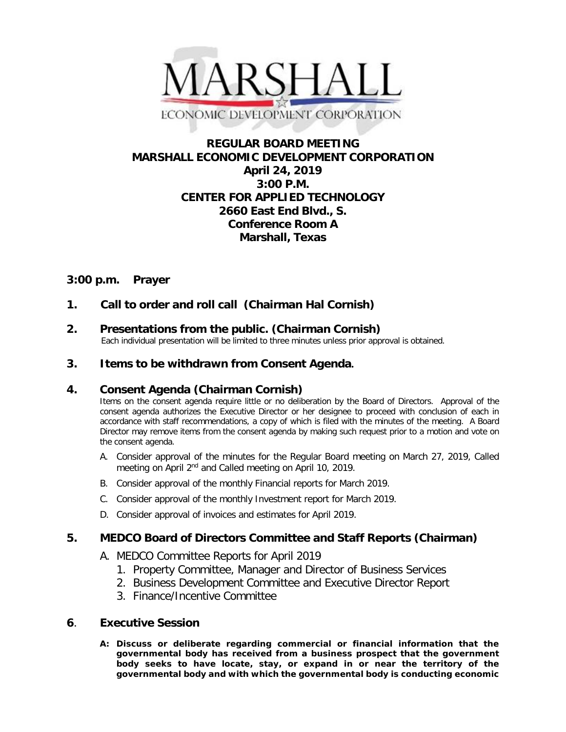

## **REGULAR BOARD MEETING MARSHALL ECONOMIC DEVELOPMENT CORPORATION April 24, 2019 3:00 P.M. CENTER FOR APPLIED TECHNOLOGY 2660 East End Blvd., S. Conference Room A Marshall, Texas**

## **3:00 p.m. Prayer**

**1. Call to order and roll call (Chairman Hal Cornish)**

# **2. Presentations from the public. (Chairman Cornish)**<br>Each individual presentation will be limited to three minutes unless prior approval is obtained.

## **3. Items to be withdrawn from Consent Agenda.**

## **4. Consent Agenda (Chairman Cornish)**

Items on the consent agenda require little or no deliberation by the Board of Directors. Approval of the consent agenda authorizes the Executive Director or her designee to proceed with conclusion of each in accordance with staff recommendations, a copy of which is filed with the minutes of the meeting. A Board Director may remove items from the consent agenda by making such request prior to a motion and vote on the consent agenda.

- A. Consider approval of the minutes for the Regular Board meeting on March 27, 2019, Called meeting on April 2<sup>nd</sup> and Called meeting on April 10, 2019.
- B. Consider approval of the monthly Financial reports for March 2019.
- C. Consider approval of the monthly Investment report for March 2019.
- D. Consider approval of invoices and estimates for April 2019.

## **5. MEDCO Board of Directors Committee and Staff Reports (Chairman)**

- A. MEDCO Committee Reports for April 2019
	- 1. Property Committee, Manager and Director of Business Services
	- 2. Business Development Committee and Executive Director Report
	- 3. Finance/Incentive Committee

## **6**. **Executive Session**

**A: Discuss or deliberate regarding commercial or financial information that the governmental body has received from a business prospect that the government body seeks to have locate, stay, or expand in or near the territory of the governmental body and with which the governmental body is conducting economic**